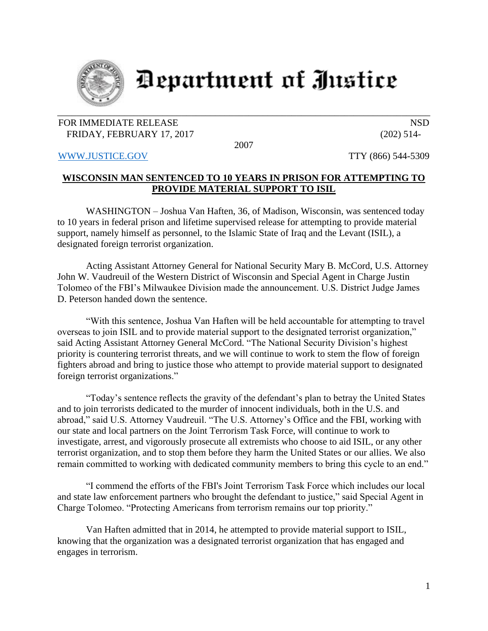

## **Department of Justice**

## FOR IMMEDIATE RELEASE NSD FRIDAY, FEBRUARY 17, 2017 (202) 514-

2007

[WWW.JUSTICE.GOV](http://www.justice.gov/) TTY (866) 544-5309

## **WISCONSIN MAN SENTENCED TO 10 YEARS IN PRISON FOR ATTEMPTING TO PROVIDE MATERIAL SUPPORT TO ISIL**

WASHINGTON – Joshua Van Haften, 36, of Madison, Wisconsin, was sentenced today to 10 years in federal prison and lifetime supervised release for attempting to provide material support, namely himself as personnel, to the Islamic State of Iraq and the Levant (ISIL), a designated foreign terrorist organization.

Acting Assistant Attorney General for National Security Mary B. McCord, U.S. Attorney John W. Vaudreuil of the Western District of Wisconsin and Special Agent in Charge Justin Tolomeo of the FBI's Milwaukee Division made the announcement. U.S. District Judge James D. Peterson handed down the sentence.

"With this sentence, Joshua Van Haften will be held accountable for attempting to travel overseas to join ISIL and to provide material support to the designated terrorist organization," said Acting Assistant Attorney General McCord. "The National Security Division's highest priority is countering terrorist threats, and we will continue to work to stem the flow of foreign fighters abroad and bring to justice those who attempt to provide material support to designated foreign terrorist organizations."

"Today's sentence reflects the gravity of the defendant's plan to betray the United States and to join terrorists dedicated to the murder of innocent individuals, both in the U.S. and abroad," said U.S. Attorney Vaudreuil. "The U.S. Attorney's Office and the FBI, working with our state and local partners on the Joint Terrorism Task Force, will continue to work to investigate, arrest, and vigorously prosecute all extremists who choose to aid ISIL, or any other terrorist organization, and to stop them before they harm the United States or our allies. We also remain committed to working with dedicated community members to bring this cycle to an end."

"I commend the efforts of the FBI's Joint Terrorism Task Force which includes our local and state law enforcement partners who brought the defendant to justice," said Special Agent in Charge Tolomeo. "Protecting Americans from terrorism remains our top priority."

Van Haften admitted that in 2014, he attempted to provide material support to ISIL, knowing that the organization was a designated terrorist organization that has engaged and engages in terrorism.